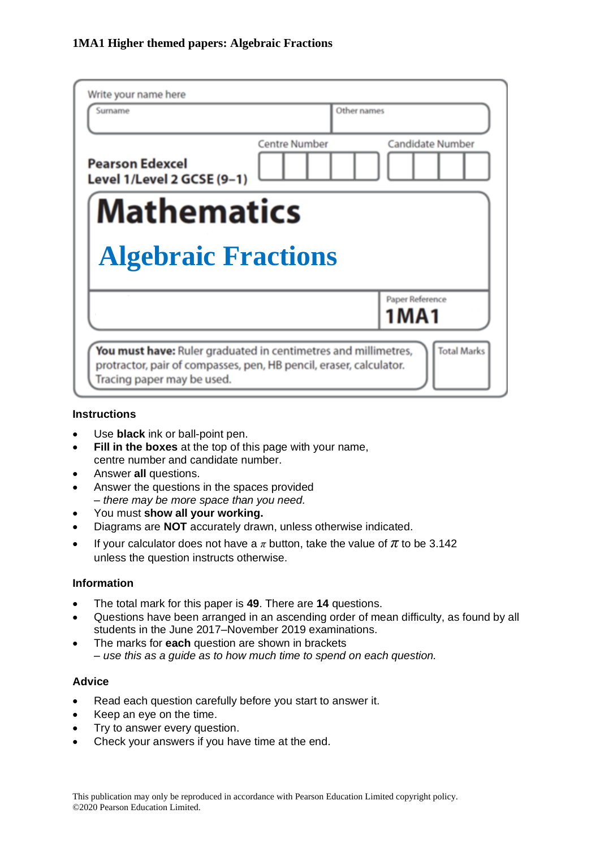| Write your name here<br>Surname                                                                                                                                                          | Other names          |                            |  |  |  |
|------------------------------------------------------------------------------------------------------------------------------------------------------------------------------------------|----------------------|----------------------------|--|--|--|
| <b>Pearson Edexcel</b><br>Level 1/Level 2 GCSE (9-1)                                                                                                                                     | <b>Centre Number</b> | <b>Candidate Number</b>    |  |  |  |
| <b>Mathematics</b><br><b>Algebraic Fractions</b>                                                                                                                                         |                      |                            |  |  |  |
|                                                                                                                                                                                          |                      | Paper Reference<br>1 M A 1 |  |  |  |
| <b>Total Marks</b><br>You must have: Ruler graduated in centimetres and millimetres,<br>protractor, pair of compasses, pen, HB pencil, eraser, calculator.<br>Tracing paper may be used. |                      |                            |  |  |  |

#### **Instructions**

- Use **black** ink or ball-point pen.
- **Fill in the boxes** at the top of this page with your name, centre number and candidate number.
- Answer **all** questions.
- Answer the questions in the spaces provided *– there may be more space than you need.*
- You must **show all your working.**
- Diagrams are **NOT** accurately drawn, unless otherwise indicated.
- If your calculator does not have a  $\pi$  button, take the value of  $\pi$  to be 3.142 unless the question instructs otherwise.

#### **Information**

- The total mark for this paper is **49**. There are **14** questions.
- Questions have been arranged in an ascending order of mean difficulty, as found by all students in the June 2017–November 2019 examinations.
- The marks for **each** question are shown in brackets *– use this as a guide as to how much time to spend on each question.*

#### **Advice**

- Read each question carefully before you start to answer it.
- Keep an eye on the time.
- Try to answer every question.
- Check your answers if you have time at the end.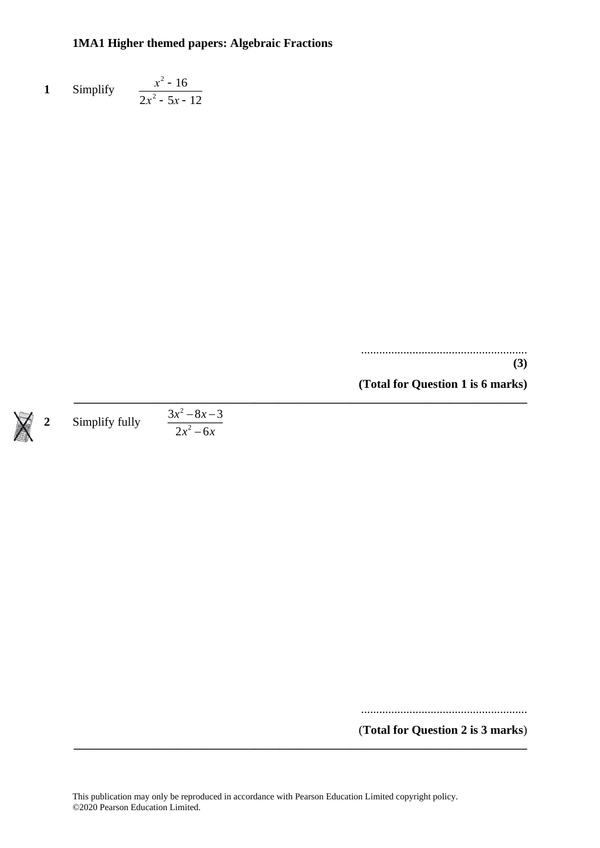#### **1** Simplify  $x^2 - 16$  $2x^2 - 5x - 12$

....................................................... **(3) (Total for Question 1 is 6 marks)**

**2** Simplify fully 2 2  $3x^2 - 8x - 3$  $2x^2 - 6$ *x x*  $x^-$  – 0 $x$  $-\alpha x$  – −

.......................................................

(**Total for Question 2 is 3 marks**)

**\_\_\_\_\_\_\_\_\_\_\_\_\_\_\_\_\_\_\_\_\_\_\_\_\_\_\_\_\_\_\_\_\_\_\_\_\_\_\_\_\_\_\_\_\_\_\_\_\_\_\_\_\_\_\_\_\_\_\_\_\_\_\_\_\_\_\_\_\_\_\_\_\_\_\_**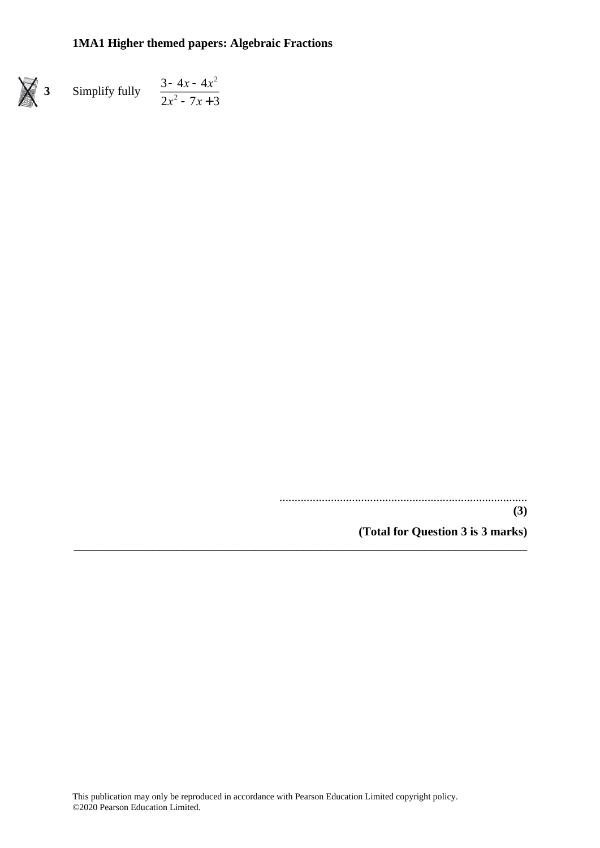**3** Simplify fully  $3 - 4x - 4x^2$  $2x^2 - 7x + 3$ 

.................................................................................. **(3)**

**(Total for Question 3 is 3 marks)**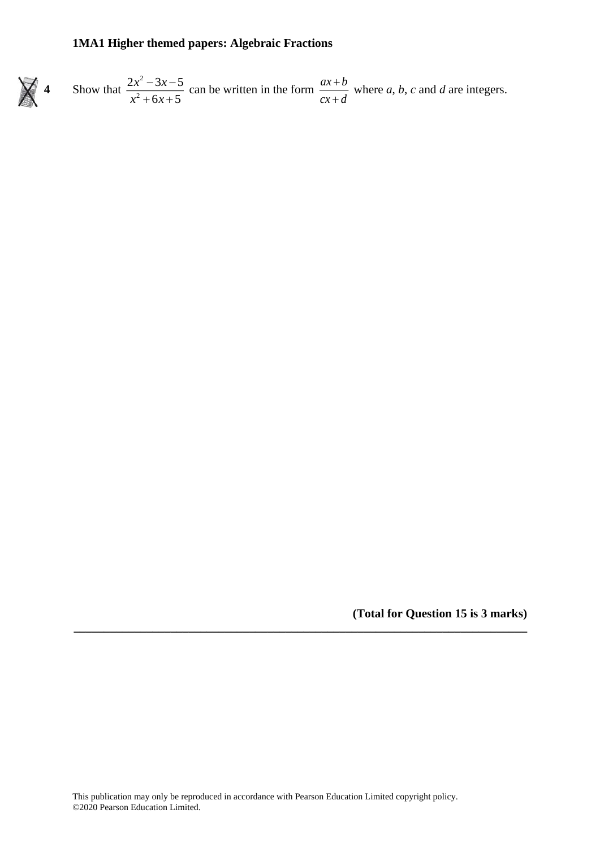



**\_\_\_\_\_\_\_\_\_\_\_\_\_\_\_\_\_\_\_\_\_\_\_\_\_\_\_\_\_\_\_\_\_\_\_\_\_\_\_\_\_\_\_\_\_\_\_\_\_\_\_\_\_\_\_\_\_\_\_\_\_\_\_\_\_\_\_\_\_\_\_\_\_\_\_**

**(Total for Question 15 is 3 marks)**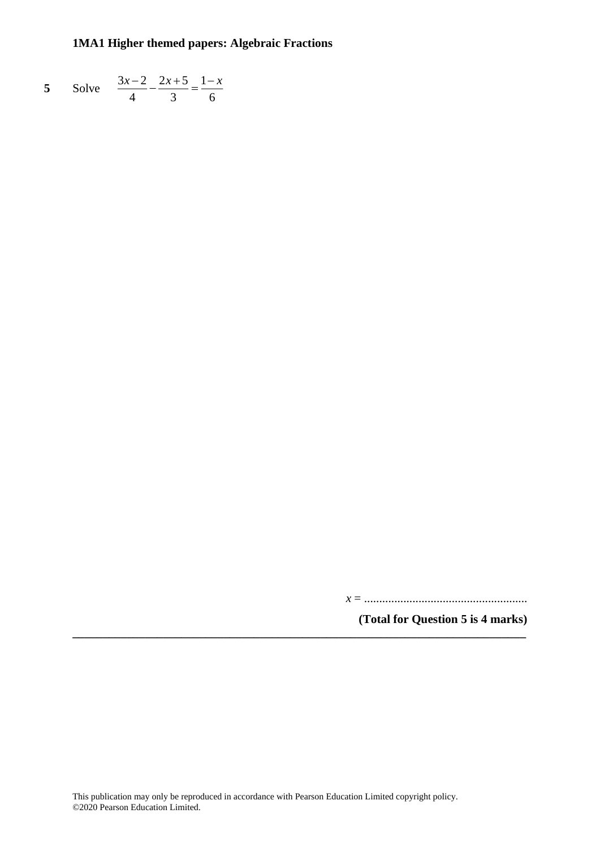5 Solve 
$$
\frac{3x-2}{4} - \frac{2x+5}{3} = \frac{1-x}{6}
$$

*x* = ......................................................

**(Total for Question 5 is 4 marks)**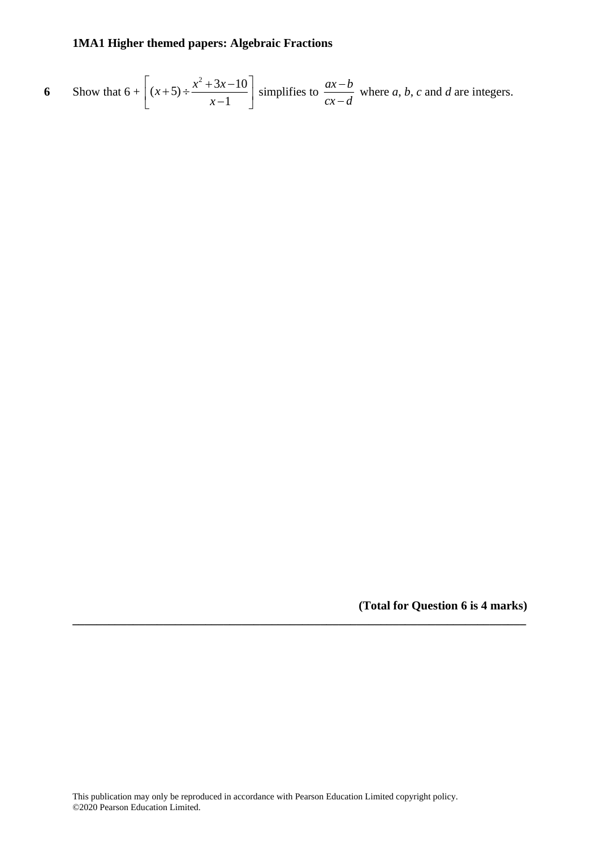6 Show that 
$$
6 + \left[ (x+5) \div \frac{x^2 + 3x - 10}{x-1} \right]
$$
 simplifies to  $\frac{ax - b}{cx - d}$  where a, b, c and d are integers.

**(Total for Question 6 is 4 marks)**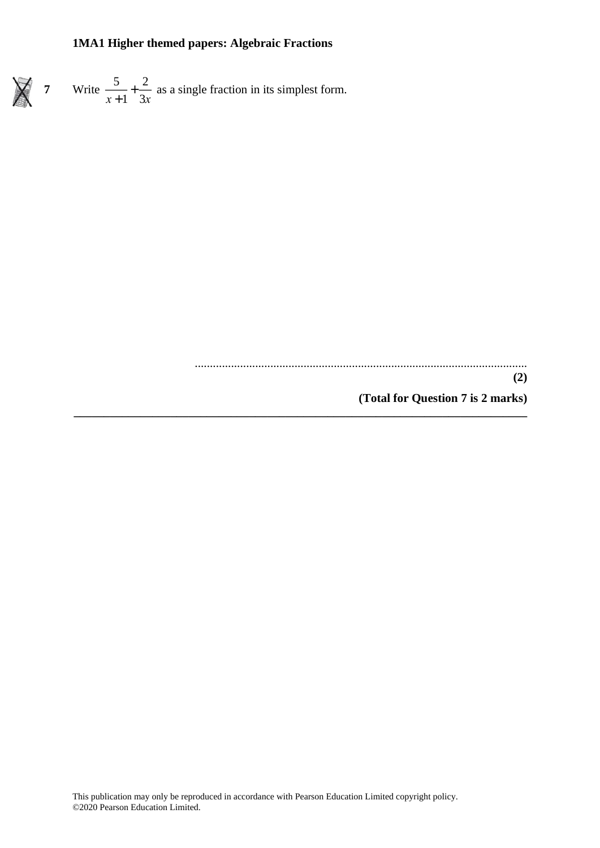**7** Write  $\frac{5}{5}$  $\frac{1}{x+1}$ 2  $\frac{2}{3x}$  as a single fraction in its simplest form.

..............................................................................................................

**(Total for Question 7 is 2 marks) \_\_\_\_\_\_\_\_\_\_\_\_\_\_\_\_\_\_\_\_\_\_\_\_\_\_\_\_\_\_\_\_\_\_\_\_\_\_\_\_\_\_\_\_\_\_\_\_\_\_\_\_\_\_\_\_\_\_\_\_\_\_\_\_\_\_\_\_\_\_\_\_\_\_\_**

**(2)**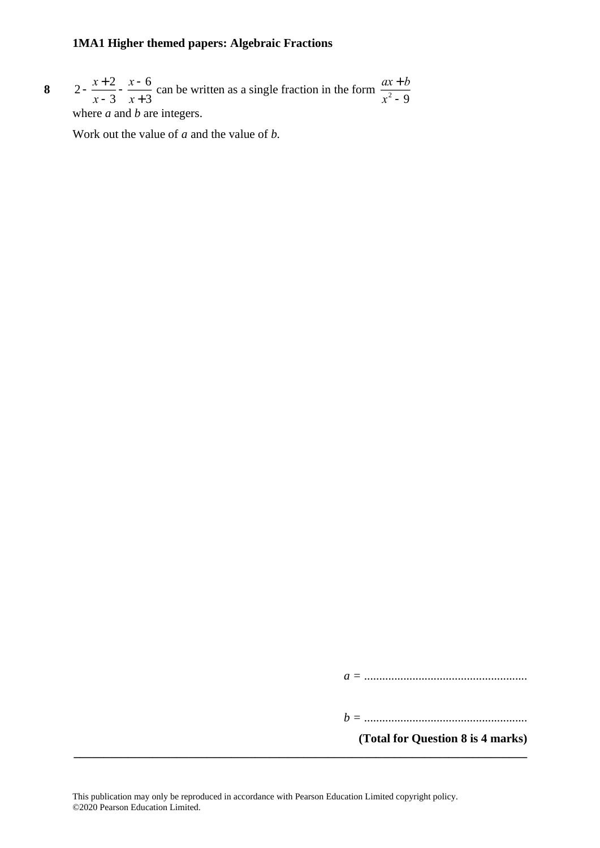**8**  $2 - \frac{x+2}{x+2}$  $\overline{x-3}$ *<sup>x</sup>* - 6  $\frac{x-6}{x+3}$  can be written as a single fraction in the form  $\frac{ax+b}{x^2-9}$  $x^2 - 9$ where *a* and *b* are integers.

Work out the value of *a* and the value of *b.*

*a =* ......................................................

*b =* ......................................................

**(Total for Question 8 is 4 marks)**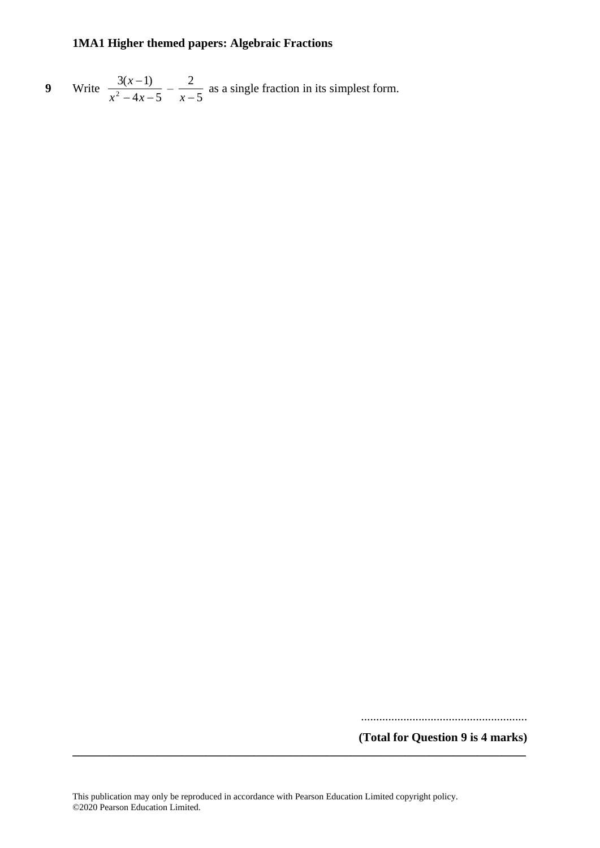9 Write 
$$
\frac{3(x-1)}{x^2-4x-5} - \frac{2}{x-5}
$$
 as a single fraction in its simplest form.

.......................................................

**(Total for Question 9 is 4 marks)**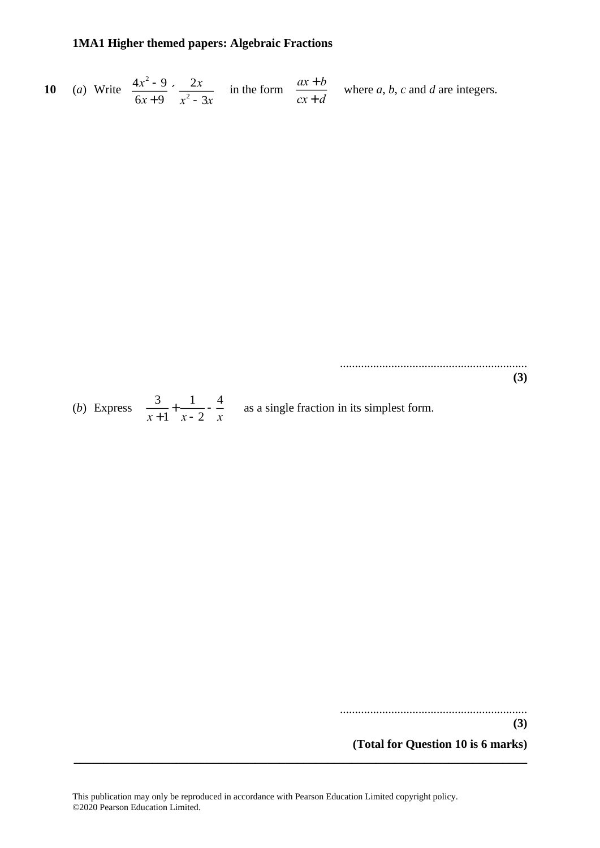10 (a) Write 
$$
\frac{4x^2-9}{6x+9} \times \frac{2x}{x^2-3x}
$$
 in the form  $\frac{ax+b}{cx+d}$  where a, b, c and d are integers.

..............................................................

**(3)**

|  | $(b)$ Express | $x+1$ $x-2$ $x$ |  |  | as a single fraction in its simplest form. |
|--|---------------|-----------------|--|--|--------------------------------------------|
|--|---------------|-----------------|--|--|--------------------------------------------|

.............................................................. **(3)**

**(Total for Question 10 is 6 marks)**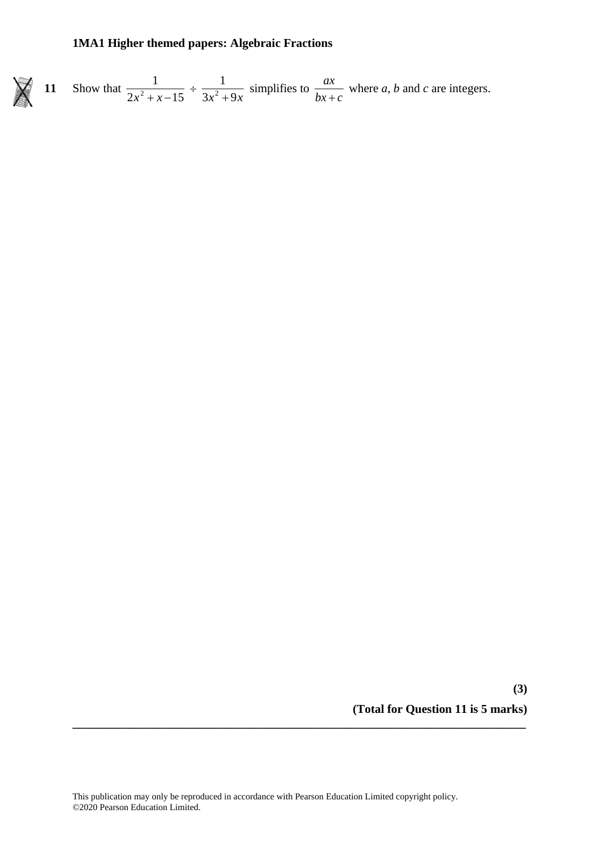

11 Show that 
$$
\frac{1}{2x^2 + x - 15} \div \frac{1}{3x^2 + 9x}
$$
 simplifies to  $\frac{ax}{bx + c}$  where a, b and c are integers.

**(3) (Total for Question 11 is 5 marks)**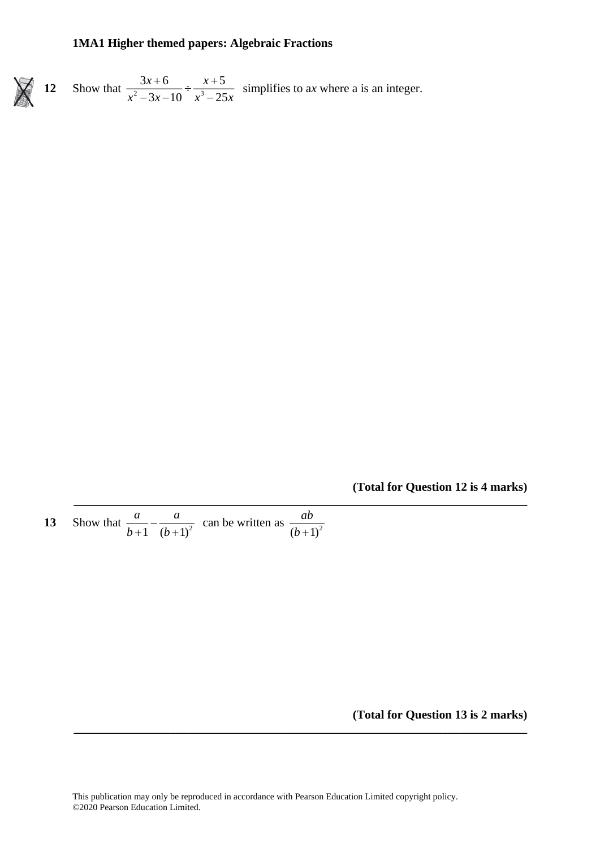

**12** Show that  $\frac{5x+6}{x^2-2} \div \frac{3}{x^3}$  $3x+6$   $x+5$  $3x-10$   $x^3-25$  $x + 6$   $x$ *x* -  $3x - 10$  *x* -  $25x$  $\frac{3x+6}{-3x-10} \div \frac{x+5}{x^3-25x}$  simplifies to ax where a is an integer.

**(Total for Question 12 is 4 marks)**

**13** Show that  $\frac{a}{b+1} - \frac{a}{(b+1)^2}$ *a a*  $\frac{a}{b+1} - \frac{a}{(b+1)^2}$  can be written as  $\frac{ab}{(b+1)^2}$ *ab b* +

### **(Total for Question 13 is 2 marks)**

**\_\_\_\_\_\_\_\_\_\_\_\_\_\_\_\_\_\_\_\_\_\_\_\_\_\_\_\_\_\_\_\_\_\_\_\_\_\_\_\_\_\_\_\_\_\_\_\_\_\_\_\_\_\_\_\_\_\_\_\_\_\_\_\_\_\_\_\_\_\_\_\_\_\_\_**